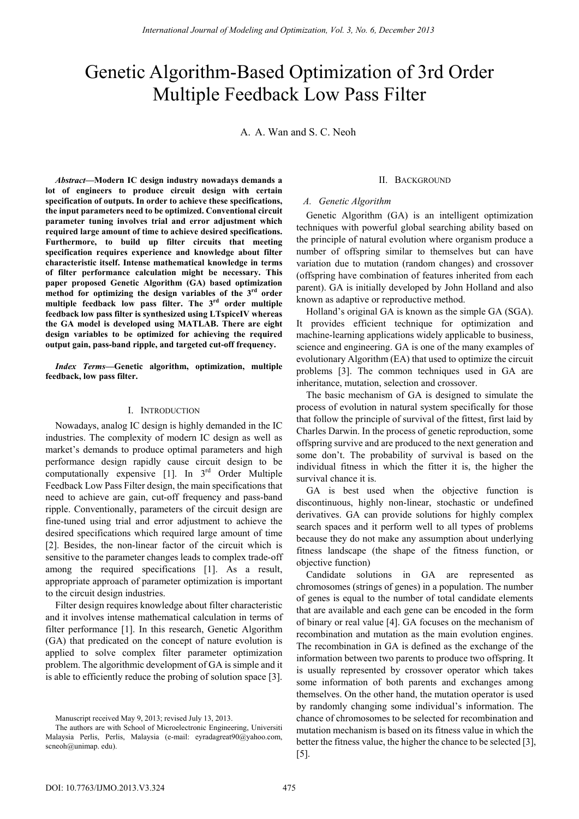# Genetic Algorithm-Based Optimization of 3rd Order Multiple Feedback Low Pass Filter

A. A. Wan and S. C. Neoh

*Abstract***—Modern IC design industry nowadays demands a lot of engineers to produce circuit design with certain specification of outputs. In order to achieve these specifications, the input parameters need to be optimized. Conventional circuit parameter tuning involves trial and error adjustment which required large amount of time to achieve desired specifications. Furthermore, to build up filter circuits that meeting specification requires experience and knowledge about filter characteristic itself. Intense mathematical knowledge in terms of filter performance calculation might be necessary. This paper proposed Genetic Algorithm (GA) based optimization method for optimizing the design variables of the 3rd order multiple feedback low pass filter. The 3rd order multiple feedback low pass filter is synthesized using LTspiceIV whereas the GA model is developed using MATLAB. There are eight design variables to be optimized for achieving the required output gain, pass-band ripple, and targeted cut-off frequency.** 

*Index Terms***—Genetic algorithm, optimization, multiple feedback, low pass filter.** 

# I. INTRODUCTION

Nowadays, analog IC design is highly demanded in the IC industries. The complexity of modern IC design as well as market's demands to produce optimal parameters and high performance design rapidly cause circuit design to be computationally expensive  $[1]$ . In  $3<sup>rd</sup>$  Order Multiple Feedback Low Pass Filter design, the main specifications that need to achieve are gain, cut-off frequency and pass-band ripple. Conventionally, parameters of the circuit design are fine-tuned using trial and error adjustment to achieve the desired specifications which required large amount of time [2]. Besides, the non-linear factor of the circuit which is sensitive to the parameter changes leads to complex trade-off among the required specifications [1]. As a result, appropriate approach of parameter optimization is important to the circuit design industries.

Filter design requires knowledge about filter characteristic and it involves intense mathematical calculation in terms of filter performance [1]. In this research, Genetic Algorithm (GA) that predicated on the concept of nature evolution is applied to solve complex filter parameter optimization problem. The algorithmic development of GA is simple and it is able to efficiently reduce the probing of solution space [3].

#### II. BACKGROUND

## *A. Genetic Algorithm*

Genetic Algorithm (GA) is an intelligent optimization techniques with powerful global searching ability based on the principle of natural evolution where organism produce a number of offspring similar to themselves but can have variation due to mutation (random changes) and crossover (offspring have combination of features inherited from each parent). GA is initially developed by John Holland and also known as adaptive or reproductive method.

Holland's original GA is known as the simple GA (SGA). It provides efficient technique for optimization and machine-learning applications widely applicable to business, science and engineering. GA is one of the many examples of evolutionary Algorithm (EA) that used to optimize the circuit problems [3]. The common techniques used in GA are inheritance, mutation, selection and crossover.

The basic mechanism of GA is designed to simulate the process of evolution in natural system specifically for those that follow the principle of survival of the fittest, first laid by Charles Darwin. In the process of genetic reproduction, some offspring survive and are produced to the next generation and some don't. The probability of survival is based on the individual fitness in which the fitter it is, the higher the survival chance it is.

GA is best used when the objective function is discontinuous, highly non-linear, stochastic or undefined derivatives. GA can provide solutions for highly complex search spaces and it perform well to all types of problems because they do not make any assumption about underlying fitness landscape (the shape of the fitness function, or objective function)

Candidate solutions in GA are represented as chromosomes (strings of genes) in a population. The number of genes is equal to the number of total candidate elements that are available and each gene can be encoded in the form of binary or real value [4]. GA focuses on the mechanism of recombination and mutation as the main evolution engines. The recombination in GA is defined as the exchange of the information between two parents to produce two offspring. It is usually represented by crossover operator which takes some information of both parents and exchanges among themselves. On the other hand, the mutation operator is used by randomly changing some individual's information. The chance of chromosomes to be selected for recombination and mutation mechanism is based on its fitness value in which the better the fitness value, the higher the chance to be selected [3], [5].

Manuscript received May 9, 2013; revised July 13, 2013.

The authors are with School of Microelectronic Engineering, Universiti Malaysia Perlis, Perlis, Malaysia (e-mail: eyradagreat90@yahoo.com, scneoh@unimap. edu).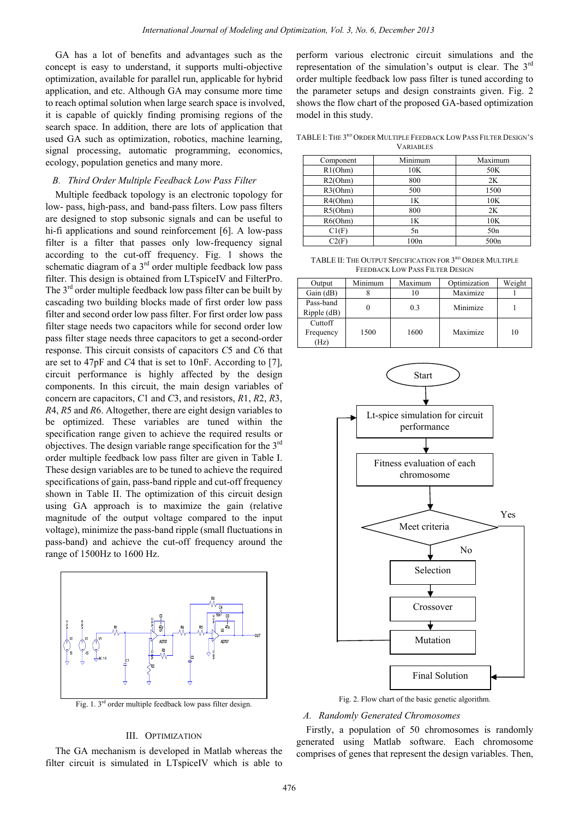GA has a lot of benefits and advantages such as the concept is easy to understand, it supports multi-objective optimization, available for parallel run, applicable for hybrid application, and etc. Although GA may consume more time to reach optimal solution when large search space is involved, it is capable of quickly finding promising regions of the search space. In addition, there are lots of application that used GA such as optimization, robotics, machine learning, signal processing, automatic programming, economics, ecology, population genetics and many more.

## *B. Third Order Multiple Feedback Low Pass Filter*

Multiple feedback topology is an electronic topology for low- pass, high-pass, and band-pass filters. Low pass filters are designed to stop subsonic signals and can be useful to hi-fi applications and sound reinforcement [6]. A low-pass filter is a filter that passes only low-frequency signal according to the cut-off frequency. Fig. 1 shows the schematic diagram of a  $3<sup>rd</sup>$  order multiple feedback low pass filter. This design is obtained from LTspiceIV and FilterPro. The  $3<sup>rd</sup>$  order multiple feedback low pass filter can be built by cascading two building blocks made of first order low pass filter and second order low pass filter. For first order low pass filter stage needs two capacitors while for second order low pass filter stage needs three capacitors to get a second-order response. This circuit consists of capacitors *C*5 and *C*6 that are set to 47pF and *C*4 that is set to 10nF. According to [7], circuit performance is highly affected by the design components. In this circuit, the main design variables of concern are capacitors, *C*1 and *C*3, and resistors, *R*1, *R*2, *R*3, *R*4, *R*5 and *R*6. Altogether, there are eight design variables to be optimized. These variables are tuned within the specification range given to achieve the required results or objectives. The design variable range specification for the 3rd order multiple feedback low pass filter are given in Table I. These design variables are to be tuned to achieve the required specifications of gain, pass-band ripple and cut-off frequency shown in Table II. The optimization of this circuit design using GA approach is to maximize the gain (relative magnitude of the output voltage compared to the input voltage), minimize the pass-band ripple (small fluctuations in pass-band) and achieve the cut-off frequency around the range of 1500Hz to 1600 Hz.



Fig. 1.  $3<sup>rd</sup>$  order multiple feedback low pass filter design.

## III. OPTIMIZATION

The GA mechanism is developed in Matlab whereas the filter circuit is simulated in LTspiceIV which is able to perform various electronic circuit simulations and the representation of the simulation's output is clear. The 3rd order multiple feedback low pass filter is tuned according to the parameter setups and design constraints given. Fig. 2 shows the flow chart of the proposed GA-based optimization model in this study.

TABLE I: THE 3RD ORDER MULTIPLE FEEDBACK LOW PASS FILTER DESIGN'S VARIABLES

| Component | Minimum | Maximum          |
|-----------|---------|------------------|
| R1(Ohm)   | 10K     | 50K              |
| R2(Ohm)   | 800     | 2K               |
| R3(Ohm)   | 500     | 1500             |
| R4(Ohm)   | 1K      | 10K              |
| R5(Ohm)   | 800     | 2K               |
| R6(Ohm)   | 1K      | 10K              |
| Cl(F)     | 5n      | 50n              |
| C2(F)     | 100n    | 500 <sub>n</sub> |

TABLE II: THE OUTPUT SPECIFICATION FOR 3RD ORDER MULTIPLE FEEDBACK LOW PASS FILTER DESIGN

| Output        | Minimum | Maximum | Optimization | Weight |
|---------------|---------|---------|--------------|--------|
| Gain $(dB)$   |         |         | Maximize     |        |
| Pass-band     |         | 0.3     | Minimize     |        |
| $Ripple$ (dB) |         |         |              |        |
| Cuttoff       |         |         |              |        |
| Frequency     | 1500    | 1600    | Maximize     | 10     |
| (Hz)          |         |         |              |        |



Fig. 2. Flow chart of the basic genetic algorithm.

## *A. Randomly Generated Chromosomes*

Firstly, a population of 50 chromosomes is randomly generated using Matlab software. Each chromosome comprises of genes that represent the design variables. Then,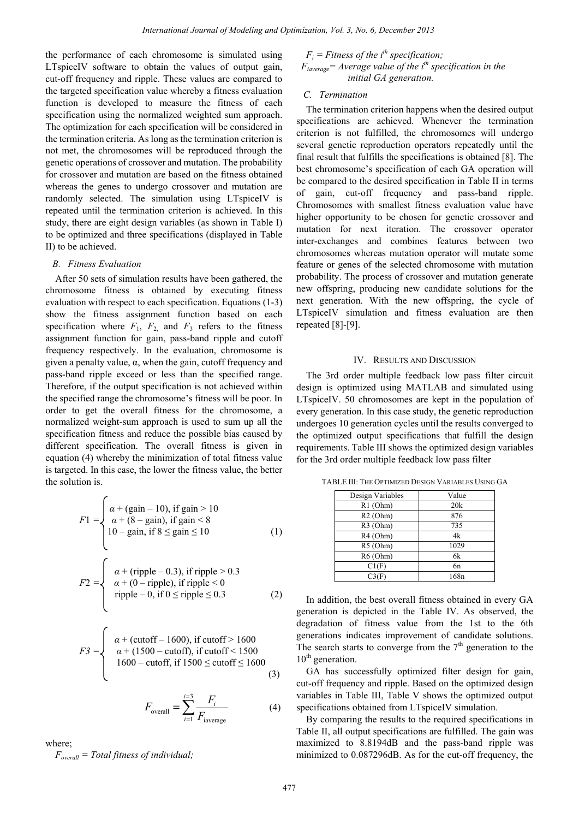the performance of each chromosome is simulated using LTspiceIV software to obtain the values of output gain, cut-off frequency and ripple. These values are compared to the targeted specification value whereby a fitness evaluation function is developed to measure the fitness of each specification using the normalized weighted sum approach. The optimization for each specification will be considered in the termination criteria. As long as the termination criterion is not met, the chromosomes will be reproduced through the genetic operations of crossover and mutation. The probability for crossover and mutation are based on the fitness obtained whereas the genes to undergo crossover and mutation are randomly selected. The simulation using LTspiceIV is repeated until the termination criterion is achieved. In this study, there are eight design variables (as shown in Table I) to be optimized and three specifications (displayed in Table II) to be achieved.

## *B. Fitness Evaluation*

After 50 sets of simulation results have been gathered, the chromosome fitness is obtained by executing fitness evaluation with respect to each specification. Equations (1-3) show the fitness assignment function based on each specification where  $F_1$ ,  $F_2$  and  $F_3$  refers to the fitness assignment function for gain, pass-band ripple and cutoff frequency respectively. In the evaluation, chromosome is given a penalty value,  $\alpha$ , when the gain, cutoff frequency and pass-band ripple exceed or less than the specified range. Therefore, if the output specification is not achieved within the specified range the chromosome's fitness will be poor. In order to get the overall fitness for the chromosome, a normalized weight-sum approach is used to sum up all the specification fitness and reduce the possible bias caused by different specification. The overall fitness is given in equation (4) whereby the minimization of total fitness value is targeted. In this case, the lower the fitness value, the better the solution is.

$$
F1 = \begin{cases} \n\alpha + (\text{gain} - 10), \text{ if } \text{gain} > 10 \\ \n\alpha + (8 - \text{gain}), \text{ if } \text{gain} < 8 \\ \n10 - \text{gain}, \text{ if } 8 \leq \text{gain} \leq 10 \n\end{cases}
$$
\n(1)

$$
F2 = \begin{cases} \alpha + (\text{right} - 0.3), \text{ if ripple} > 0.3\\ \alpha + (0 - \text{ ripple}), \text{ if ripple} < 0\\ \text{ ripple} - 0, \text{ if } 0 \le \text{ ripple} \le 0.3 \end{cases}
$$
(2)

$$
F3 = \begin{cases} \alpha + (\text{cutoff} - 1600), \text{ if } \text{cutoff} > 1600 \\ \alpha + (1500 - \text{cutoff}), \text{ if } \text{cutoff} < 1500 \\ 1600 - \text{cutoff}, \text{ if } 1500 \le \text{cutoff} \le 1600 \end{cases}
$$
(3)

$$
F_{\text{overall}} = \sum_{i=1}^{i=3} \frac{F_i}{F_{\text{iaverage}}}
$$
 (4)

where;

*Foverall = Total fitness of individual;* 

 $F_i$  = Fitness of the i<sup>th</sup> specification;  $F_{iaverage}$ = Average value of the i<sup>th</sup> specification in the  *initial GA generation.* 

## *C. Termination*

The termination criterion happens when the desired output specifications are achieved. Whenever the termination criterion is not fulfilled, the chromosomes will undergo several genetic reproduction operators repeatedly until the final result that fulfills the specifications is obtained [8]. The best chromosome's specification of each GA operation will be compared to the desired specification in Table II in terms of gain, cut-off frequency and pass-band ripple. Chromosomes with smallest fitness evaluation value have higher opportunity to be chosen for genetic crossover and mutation for next iteration. The crossover operator inter-exchanges and combines features between two chromosomes whereas mutation operator will mutate some feature or genes of the selected chromosome with mutation probability. The process of crossover and mutation generate new offspring, producing new candidate solutions for the next generation. With the new offspring, the cycle of LTspiceIV simulation and fitness evaluation are then repeated [8]-[9].

#### IV. RESULTS AND DISCUSSION

The 3rd order multiple feedback low pass filter circuit design is optimized using MATLAB and simulated using LTspiceIV. 50 chromosomes are kept in the population of every generation. In this case study, the genetic reproduction undergoes 10 generation cycles until the results converged to the optimized output specifications that fulfill the design requirements. Table III shows the optimized design variables for the 3rd order multiple feedback low pass filter

| Design Variables | Value            |
|------------------|------------------|
| $R1$ (Ohm)       | 20k              |
| $R2$ (Ohm)       | 876              |
| R3 (Ohm)         | 735              |
| $R4$ (Ohm)       | 4k               |
| R5 (Ohm)         | 1029             |
| R6 (Ohm)         | 6k               |
| Cl(F)            | 6 <sub>n</sub>   |
| C3(F)            | 168 <sub>n</sub> |

TABLE III: THE OPTIMIZED DESIGN VARIABLES USING GA

In addition, the best overall fitness obtained in every GA generation is depicted in the Table IV. As observed, the degradation of fitness value from the 1st to the 6th generations indicates improvement of candidate solutions. The search starts to converge from the  $7<sup>th</sup>$  generation to the  $10<sup>th</sup>$  generation.

GA has successfully optimized filter design for gain, cut-off frequency and ripple. Based on the optimized design variables in Table III, Table V shows the optimized output specifications obtained from LTspiceIV simulation.

By comparing the results to the required specifications in Table II, all output specifications are fulfilled. The gain was maximized to 8.8194dB and the pass-band ripple was minimized to 0.087296dB. As for the cut-off frequency, the